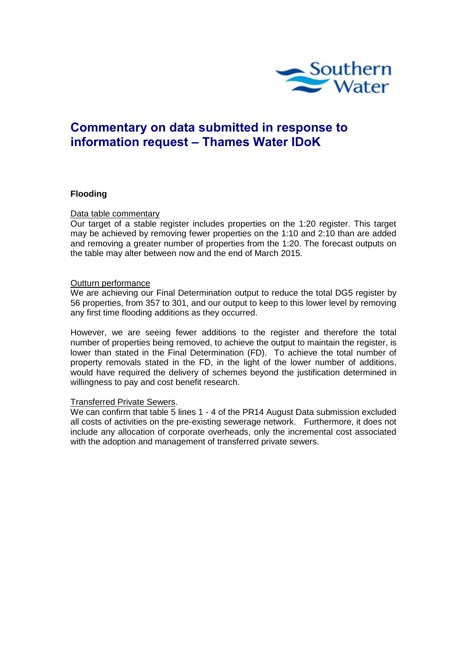

# **Commentary on data submitted in response to information request – Thames Water IDoK**

## **Flooding**

#### Data table commentary

Our target of a stable register includes properties on the 1:20 register. This target may be achieved by removing fewer properties on the 1:10 and 2:10 than are added and removing a greater number of properties from the 1:20. The forecast outputs on the table may alter between now and the end of March 2015.

#### Outturn performance

We are achieving our Final Determination output to reduce the total DG5 register by 56 properties, from 357 to 301, and our output to keep to this lower level by removing any first time flooding additions as they occurred.

However, we are seeing fewer additions to the register and therefore the total number of properties being removed, to achieve the output to maintain the register, is lower than stated in the Final Determination (FD). To achieve the total number of property removals stated in the FD, in the light of the lower number of additions, would have required the delivery of schemes beyond the justification determined in willingness to pay and cost benefit research.

## Transferred Private Sewers.

We can confirm that table 5 lines 1 - 4 of the PR14 August Data submission excluded all costs of activities on the pre-existing sewerage network. Furthermore, it does not include any allocation of corporate overheads, only the incremental cost associated with the adoption and management of transferred private sewers.